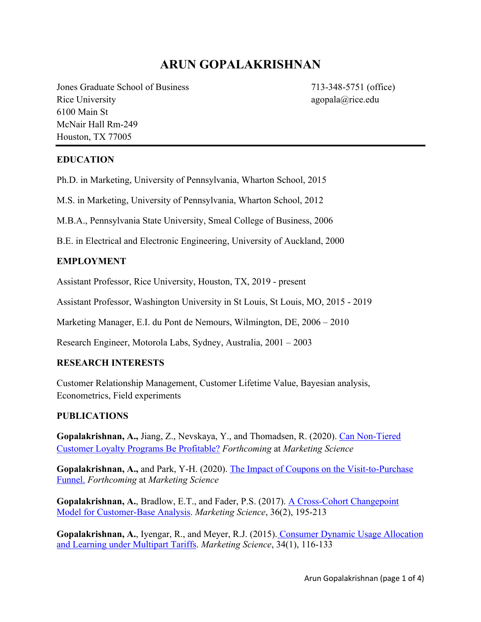# **ARUN GOPALAKRISHNAN**

 Jones Graduate School of Business 713-348-5751 (office) Rice University 6100 Main St Houston, TX 77005 McNair Hall Rm-249

agopala@rice.edu

## **EDUCATION**

Ph.D. in Marketing, University of Pennsylvania, Wharton School, 2015

M.S. in Marketing, University of Pennsylvania, Wharton School, 2012

M.B.A., Pennsylvania State University, Smeal College of Business, 2006

B.E. in Electrical and Electronic Engineering, University of Auckland, 2000

#### **EMPLOYMENT**

Assistant Professor, Rice University, Houston, TX, 2019 - present

Assistant Professor, Washington University in St Louis, St Louis, MO, 2015 - 2019

Marketing Manager, E.I. du Pont de Nemours, Wilmington, DE, 2006 – 2010

Research Engineer, Motorola Labs, Sydney, Australia, 2001 – 2003

#### **RESEARCH INTERESTS**

 Econometrics, Field experiments Customer Relationship Management, Customer Lifetime Value, Bayesian analysis,

#### **PUBLICATIONS**

Gopalakrishnan, A., Jiang, Z., Nevskaya, Y., and Thomadsen, R. (2020). Can Non-Tiered Customer Loyalty Programs Be Profitable? *Forthcoming* at *Marketing Science* 

**Gopalakrishnan, A.,** and Park, Y-H. (2020). The Impact of Coupons on the Visit-to-Purchase Funnel. *Forthcoming* at *Marketing Science* 

**Gopalakrishnan, A.**, Bradlow, E.T., and Fader, P.S. (2017). A Cross-Cohort Changepoint Model for Customer-Base Analysis. *Marketing Science*, 36(2), 195-213

**Gopalakrishnan, A.**, Iyengar, R., and Meyer, R.J. (2015). Consumer Dynamic Usage Allocation and Learning under Multipart Tariffs. *Marketing Science*, 34(1), 116-133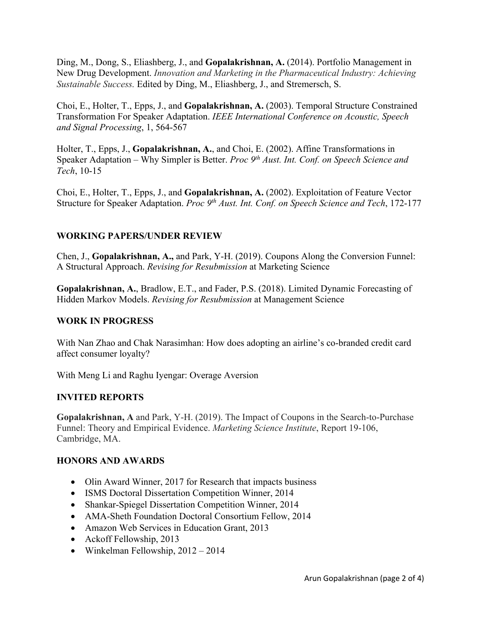Ding, M., Dong, S., Eliashberg, J., and **Gopalakrishnan, A.** (2014). Portfolio Management in New Drug Development. *Innovation and Marketing in the Pharmaceutical Industry: Achieving Sustainable Success.* Edited by Ding, M., Eliashberg, J., and Stremersch, S.

 Choi, E., Holter, T., Epps, J., and **Gopalakrishnan, A.** (2003). Temporal Structure Constrained Transformation For Speaker Adaptation. *IEEE International Conference on Acoustic, Speech and Signal Processing*, 1, 564-567

Holter, T., Epps, J., **Gopalakrishnan, A.**, and Choi, E. (2002). Affine Transformations in Speaker Adaptation – Why Simpler is Better. *Proc 9th Aust. Int. Conf. on Speech Science and Tech*, 10-15

Choi, E., Holter, T., Epps, J., and **Gopalakrishnan, A.** (2002). Exploitation of Feature Vector Structure for Speaker Adaptation. *Proc 9th Aust. Int. Conf. on Speech Science and Tech*, 172-177

# **WORKING PAPERS/UNDER REVIEW**

Chen, J., **Gopalakrishnan, A.,** and Park, Y-H. (2019). Coupons Along the Conversion Funnel: A Structural Approach. *Revising for Resubmission* at Marketing Science

**Gopalakrishnan, A.**, Bradlow, E.T., and Fader, P.S. (2018). Limited Dynamic Forecasting of Hidden Markov Models. *Revising for Resubmission* at Management Science

## **WORK IN PROGRESS**

 affect consumer loyalty? With Nan Zhao and Chak Narasimhan: How does adopting an airline's co-branded credit card

With Meng Li and Raghu Iyengar: Overage Aversion

## **INVITED REPORTS**

**Gopalakrishnan, A** and Park, Y-H. (2019). The Impact of Coupons in the Search-to-Purchase Funnel: Theory and Empirical Evidence. *Marketing Science Institute*, Report 19-106, Cambridge, MA.

## **HONORS AND AWARDS**

- Olin Award Winner, 2017 for Research that impacts business
- ISMS Doctoral Dissertation Competition Winner, 2014
- Shankar-Spiegel Dissertation Competition Winner, 2014
- AMA-Sheth Foundation Doctoral Consortium Fellow, 2014
- Amazon Web Services in Education Grant, 2013
- Ackoff Fellowship, 2013
- Winkelman Fellowship, 2012 2014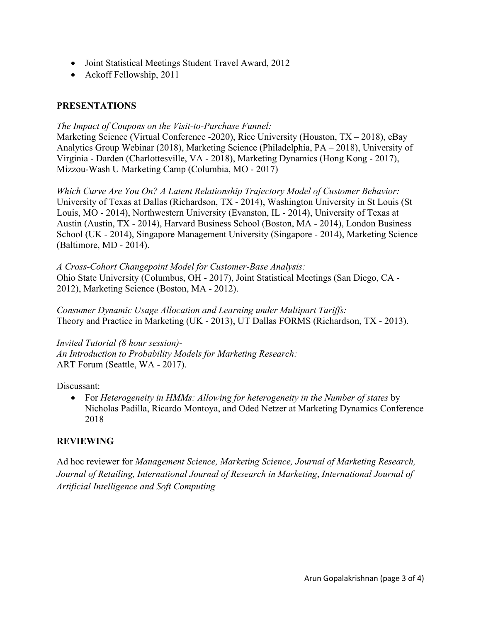- Joint Statistical Meetings Student Travel Award, 2012
- Ackoff Fellowship, 2011

# **PRESENTATIONS**

#### *The Impact of Coupons on the Visit-to-Purchase Funnel:*

 Marketing Science (Virtual Conference -2020), Rice University (Houston, TX – 2018), eBay Analytics Group Webinar (2018), Marketing Science (Philadelphia, PA – 2018), University of Virginia - Darden (Charlottesville, VA - 2018), Marketing Dynamics (Hong Kong - 2017), Mizzou-Wash U Marketing Camp (Columbia, MO - 2017)

 *Which Curve Are You On? A Latent Relationship Trajectory Model of Customer Behavior:*  University of Texas at Dallas (Richardson, TX - 2014), Washington University in St Louis (St Louis, MO - 2014), Northwestern University (Evanston, IL - 2014), University of Texas at Austin (Austin, TX - 2014), Harvard Business School (Boston, MA - 2014), London Business School (UK - 2014), Singapore Management University (Singapore - 2014), Marketing Science (Baltimore, MD - 2014).

 Ohio State University (Columbus, OH - 2017), Joint Statistical Meetings (San Diego, CA - 2012), Marketing Science (Boston, MA - 2012). *A Cross-Cohort Changepoint Model for Customer-Base Analysis:* 

 *Consumer Dynamic Usage Allocation and Learning under Multipart Tariffs:*  Theory and Practice in Marketing (UK - 2013), UT Dallas FORMS (Richardson, TX - 2013).

 *Invited Tutorial (8 hour session)-* ART Forum (Seattle, WA - 2017). *An Introduction to Probability Models for Marketing Research:* 

Discussant:

• For *Heterogeneity in HMMs: Allowing for heterogeneity in the Number of states* by Nicholas Padilla, Ricardo Montoya, and Oded Netzer at Marketing Dynamics Conference 2018

## **REVIEWING**

Ad hoc reviewer for *Management Science, Marketing Science, Journal of Marketing Research, Journal of Retailing, International Journal of Research in Marketing*, *International Journal of Artificial Intelligence and Soft Computing*